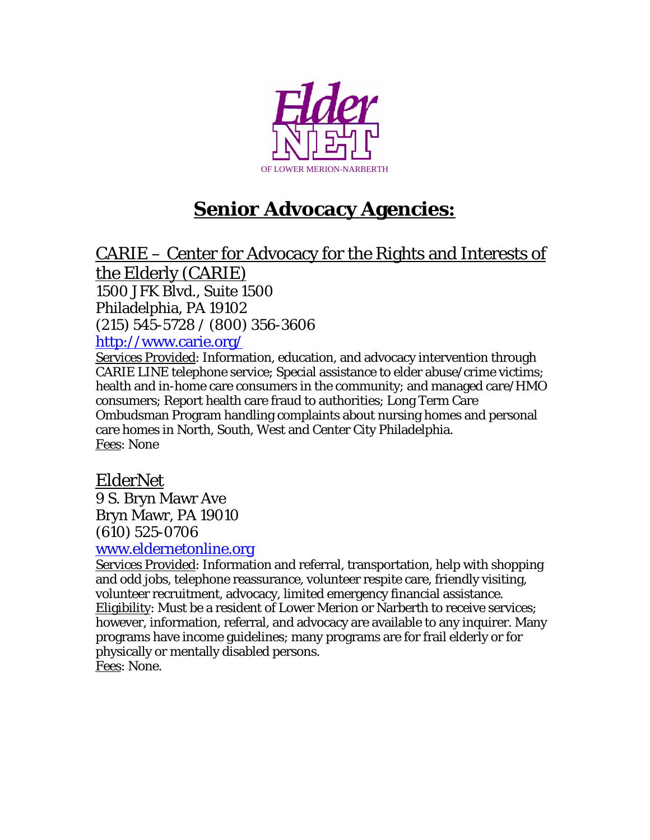

# **Senior Advocacy Agencies:**

CARIE – Center for Advocacy for the Rights and Interests of the Elderly (CARIE) 1500 JFK Blvd., Suite 1500 Philadelphia, PA 19102 (215) 545-5728 / (800) 356-3606 <http://www.carie.org/>

Services Provided: Information, education, and advocacy intervention through CARIE LINE telephone service; Special assistance to elder abuse/crime victims; health and in-home care consumers in the community; and managed care/HMO consumers; Report health care fraud to authorities; Long Term Care Ombudsman Program handling complaints about nursing homes and personal care homes in North, South, West and Center City Philadelphia. Fees: None

## ElderNet

9 S. Bryn Mawr Ave Bryn Mawr, PA 19010 (610) 525-0706

#### [www.eldernetonline.org](http://www.rhd.org/Program.aspx?pid=76)

Services Provided: Information and referral, transportation, help with shopping and odd jobs, telephone reassurance, volunteer respite care, friendly visiting, volunteer recruitment, advocacy, limited emergency financial assistance. Eligibility: Must be a resident of Lower Merion or Narberth to receive services; however, information, referral, and advocacy are available to any inquirer. Many programs have income guidelines; many programs are for frail elderly or for physically or mentally disabled persons. Fees: None.